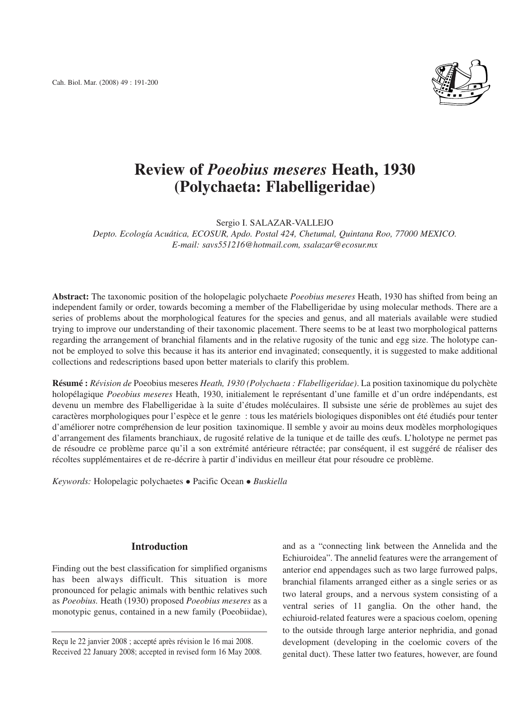Cah. Biol. Mar. (2008) 49 : 191-200



# **Review of** *Poeobius meseres* **Heath, 1930 (Polychaeta: Flabelligeridae)**

Sergio I. SALAZAR-VALLEJO

*Depto. Ecología Acuática, ECOSUR, Apdo. Postal 424, Chetumal, Quintana Roo, 77000 MEXICO. E-mail: savs551216@hotmail.com, ssalazar@ecosur.mx*

**Abstract:** The taxonomic position of the holopelagic polychaete *Poeobius meseres* Heath, 1930 has shifted from being an independent family or order, towards becoming a member of the Flabelligeridae by using molecular methods. There are a series of problems about the morphological features for the species and genus, and all materials available were studied trying to improve our understanding of their taxonomic placement. There seems to be at least two morphological patterns regarding the arrangement of branchial filaments and in the relative rugosity of the tunic and egg size. The holotype cannot be employed to solve this because it has its anterior end invaginated; consequently, it is suggested to make additional collections and redescriptions based upon better materials to clarify this problem.

**Résumé :** *Révision de* Poeobius meseres *Heath, 1930 (Polychaeta : Flabelligeridae)*. La position taxinomique du polychète holopélagique *Poeobius meseres* Heath, 1930, initialement le représentant d'une famille et d'un ordre indépendants, est devenu un membre des Flabelligeridae à la suite d'études moléculaires. Il subsiste une série de problèmes au sujet des caractères morphologiques pour l'espèce et le genre : tous les matériels biologiques disponibles ont été étudiés pour tenter d'améliorer notre compréhension de leur position taxinomique. Il semble y avoir au moins deux modèles morphologiques d'arrangement des filaments branchiaux, de rugosité relative de la tunique et de taille des œufs. L'holotype ne permet pas de résoudre ce problème parce qu'il a son extrémité antérieure rétractée; par conséquent, il est suggéré de réaliser des récoltes supplémentaires et de re-décrire à partir d'individus en meilleur état pour résoudre ce problème.

*Keywords:* Holopelagic polychaetes • Pacific Ocean • Buskiella

# **Introduction**

Finding out the best classification for simplified organisms has been always difficult. This situation is more pronounced for pelagic animals with benthic relatives such as *Poeobius.* Heath (1930) proposed *Poeobius meseres* as a monotypic genus, contained in a new family (Poeobiidae),

Reçu le 22 janvier 2008 ; accepté après révision le 16 mai 2008. Received 22 January 2008; accepted in revised form 16 May 2008. and as a "connecting link between the Annelida and the Echiuroidea". The annelid features were the arrangement of anterior end appendages such as two large furrowed palps, branchial filaments arranged either as a single series or as two lateral groups, and a nervous system consisting of a ventral series of 11 ganglia. On the other hand, the echiuroid-related features were a spacious coelom, opening to the outside through large anterior nephridia, and gonad development (developing in the coelomic covers of the genital duct). These latter two features, however, are found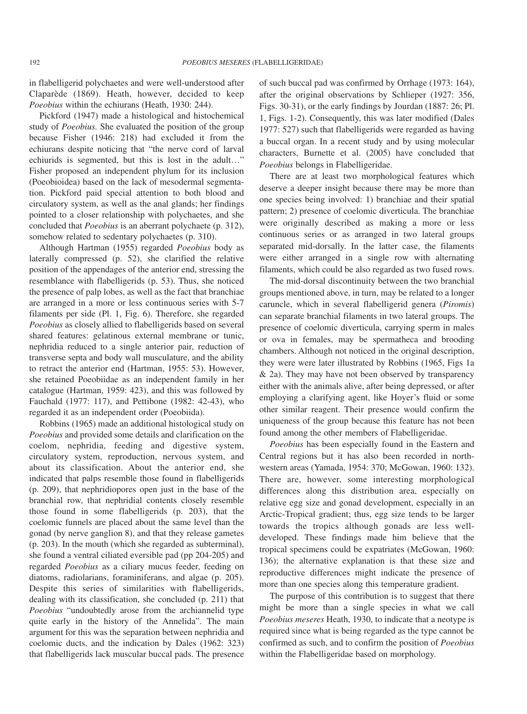in flabelligerid polychaetes and were well-understood after Claparède (1869). Heath, however, decided to keep *Poeobius* within the echiurans (Heath, 1930: 244).

Pickford (1947) made a histological and histochemical study of *Poeobius.* She evaluated the position of the group because Fisher (1946: 218) had excluded it from the echiurans despite noticing that "the nerve cord of larval echiurids is segmented, but this is lost in the adult…" Fisher proposed an independent phylum for its inclusion (Poeobioidea) based on the lack of mesodermal segmentation. Pickford paid special attention to both blood and circulatory system, as well as the anal glands; her findings pointed to a closer relationship with polychaetes, and she concluded that *Poeobius* is an aberrant polychaete (p. 312), somehow related to sedentary polychaetes (p. 310).

Although Hartman (1955) regarded *Poeobius* body as laterally compressed (p. 52), she clarified the relative position of the appendages of the anterior end, stressing the resemblance with flabelligerids (p. 53). Thus, she noticed the presence of palp lobes, as well as the fact that branchiae are arranged in a more or less continuous series with 5-7 filaments per side (Pl. 1, Fig. 6). Therefore, she regarded *Poeobius* as closely allied to flabelligerids based on several shared features: gelatinous external membrane or tunic, nephridia reduced to a single anterior pair, reduction of transverse septa and body wall musculature, and the ability to retract the anterior end (Hartman, 1955: 53). However, she retained Poeobiidae as an independent family in her catalogue (Hartman, 1959: 423), and this was followed by Fauchald (1977: 117), and Pettibone (1982: 42-43), who regarded it as an independent order (Poeobiida).

Robbins (1965) made an additional histological study on *Poeobius* and provided some details and clarification on the coelom, nephridia, feeding and digestive system, circulatory system, reproduction, nervous system, and about its classification. About the anterior end, she indicated that palps resemble those found in flabelligerids (p. 209), that nephridiopores open just in the base of the branchial row, that nephridial contents closely resemble those found in some flabelligerids (p. 203), that the coelomic funnels are placed about the same level than the gonad (by nerve ganglion 8), and that they release gametes (p. 203). In the mouth (which she regarded as subterminal), she found a ventral ciliated eversible pad (pp 204-205) and regarded *Poeobius* as a ciliary mucus feeder, feeding on diatoms, radiolarians, foraminiferans, and algae (p. 205). Despite this series of similarities with flabelligerids, dealing with its classification, she concluded (p. 211) that *Poeobius* "undoubtedly arose from the archiannelid type quite early in the history of the Annelida". The main argument for this was the separation between nephridia and coelomic ducts, and the indication by Dales (1962: 323) that flabelligerids lack muscular buccal pads. The presence of such buccal pad was confirmed by Orrhage (1973: 164), after the original observations by Schlieper (1927: 356, Figs. 30-31), or the early findings by Jourdan (1887: 26; Pl. 1, Figs. 1-2). Consequently, this was later modified (Dales 1977: 527) such that flabelligerids were regarded as having a buccal organ. In a recent study and by using molecular characters, Burnette et al. (2005) have concluded that *Poeobius* belongs in Flabelligeridae.

There are at least two morphological features which deserve a deeper insight because there may be more than one species being involved: 1) branchiae and their spatial pattern; 2) presence of coelomic diverticula. The branchiae were originally described as making a more or less continuous series or as arranged in two lateral groups separated mid-dorsally. In the latter case, the filaments were either arranged in a single row with alternating filaments, which could be also regarded as two fused rows.

The mid-dorsal discontinuity between the two branchial groups mentioned above, in turn, may be related to a longer caruncle, which in several flabelligerid genera (*Piromis*) can separate branchial filaments in two lateral groups. The presence of coelomic diverticula, carrying sperm in males or ova in females, may be spermatheca and brooding chambers. Although not noticed in the original description, they were were later illustrated by Robbins (1965, Figs 1a & 2a). They may have not been observed by transparency either with the animals alive, after being depressed, or after employing a clarifying agent, like Hoyer's fluid or some other similar reagent. Their presence would confirm the uniqueness of the group because this feature has not been found among the other members of Flabelligeridae.

*Poeobius* has been especially found in the Eastern and Central regions but it has also been recorded in northwestern areas (Yamada, 1954: 370; McGowan, 1960: 132). There are, however, some interesting morphological differences along this distribution area, especially on relative egg size and gonad development, especially in an Arctic-Tropical gradient; thus, egg size tends to be larger towards the tropics although gonads are less welldeveloped. These findings made him believe that the tropical specimens could be expatriates (McGowan, 1960: 136); the alternative explanation is that these size and reproductive differences might indicate the presence of more than one species along this temperature gradient.

The purpose of this contribution is to suggest that there might be more than a single species in what we call *Poeobius meseres* Heath, 1930, to indicate that a neotype is required since what is being regarded as the type cannot be confirmed as such, and to confirm the position of *Poeobius* within the Flabelligeridae based on morphology.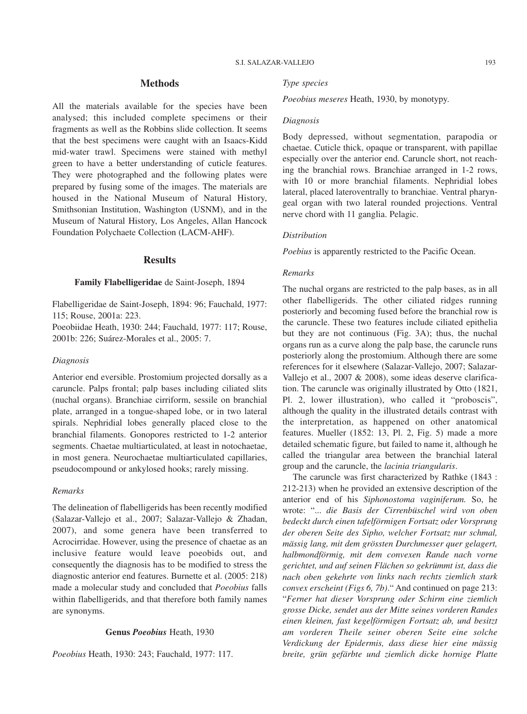# **Methods**

All the materials available for the species have been analysed; this included complete specimens or their fragments as well as the Robbins slide collection. It seems that the best specimens were caught with an Isaacs-Kidd mid-water trawl. Specimens were stained with methyl green to have a better understanding of cuticle features. They were photographed and the following plates were prepared by fusing some of the images. The materials are housed in the National Museum of Natural History, Smithsonian Institution, Washington (USNM), and in the Museum of Natural History, Los Angeles, Allan Hancock Foundation Polychaete Collection (LACM-AHF).

## **Results**

## **Family Flabelligeridae** de Saint-Joseph, 1894

Flabelligeridae de Saint-Joseph, 1894: 96; Fauchald, 1977: 115; Rouse, 2001a: 223.

Poeobiidae Heath, 1930: 244; Fauchald, 1977: 117; Rouse, 2001b: 226; Suárez-Morales et al., 2005: 7.

### *Diagnosis*

Anterior end eversible. Prostomium projected dorsally as a caruncle. Palps frontal; palp bases including ciliated slits (nuchal organs). Branchiae cirriform, sessile on branchial plate, arranged in a tongue-shaped lobe, or in two lateral spirals. Nephridial lobes generally placed close to the branchial filaments. Gonopores restricted to 1-2 anterior segments. Chaetae multiarticulated, at least in notochaetae, in most genera. Neurochaetae multiarticulated capillaries, pseudocompound or ankylosed hooks; rarely missing.

## *Remarks*

The delineation of flabelligerids has been recently modified (Salazar-Vallejo et al., 2007; Salazar-Vallejo & Zhadan, 2007), and some genera have been transferred to Acrocirridae. However, using the presence of chaetae as an inclusive feature would leave poeobids out, and consequently the diagnosis has to be modified to stress the diagnostic anterior end features. Burnette et al. (2005: 218) made a molecular study and concluded that *Poeobius* falls within flabelligerids, and that therefore both family names are synonyms.

## **Genus** *Poeobius* Heath, 1930

*Poeobius* Heath, 1930: 243; Fauchald, 1977: 117.

#### *Type species*

*Poeobius meseres* Heath, 1930, by monotypy.

### *Diagnosis*

Body depressed, without segmentation, parapodia or chaetae. Cuticle thick, opaque or transparent, with papillae especially over the anterior end. Caruncle short, not reaching the branchial rows. Branchiae arranged in 1-2 rows, with 10 or more branchial filaments. Nephridial lobes lateral, placed lateroventrally to branchiae. Ventral pharyngeal organ with two lateral rounded projections. Ventral nerve chord with 11 ganglia. Pelagic.

## *Distribution*

*Poebius* is apparently restricted to the Pacific Ocean.

## *Remarks*

The nuchal organs are restricted to the palp bases, as in all other flabelligerids. The other ciliated ridges running posteriorly and becoming fused before the branchial row is the caruncle. These two features include ciliated epithelia but they are not continuous (Fig. 3A); thus, the nuchal organs run as a curve along the palp base, the caruncle runs posteriorly along the prostomium. Although there are some references for it elsewhere (Salazar-Vallejo, 2007; Salazar-Vallejo et al., 2007 & 2008), some ideas deserve clarification. The caruncle was originally illustrated by Otto (1821, Pl. 2, lower illustration), who called it "proboscis", although the quality in the illustrated details contrast with the interpretation, as happened on other anatomical features. Mueller (1852: 13, Pl. 2, Fig. 5) made a more detailed schematic figure, but failed to name it, although he called the triangular area between the branchial lateral group and the caruncle, the *lacinia triangularis*.

The caruncle was first characterized by Rathke (1843 : 212-213) when he provided an extensive description of the anterior end of his *Siphonostoma vaginiferum.* So, he wrote: "... *die Basis der Cirrenbüschel wird von oben bedeckt durch einen tafelförmigen Fortsatz oder Vorsprung der oberen Seite des Sipho, welcher Fortsatz nur schmal, mässig lang, mit dem grössten Durchmesser quer gelagert, halbmondförmig, mit dem convexen Rande nach vorne gerichtet, und auf seinen Flächen so gekrümmt ist, dass die nach oben gekehrte von links nach rechts ziemlich stark convex erscheint (Figs 6, 7b)*." And continued on page 213: "*Ferner hat dieser Vorsprung oder Schirm eine ziemlich grosse Dicke, sendet aus der Mitte seines vorderen Randes einen kleinen, fast kegelförmigen Fortsatz ab, und besitzt am vorderen Theile seiner oberen Seite eine solche Verdickung der Epidermis, dass diese hier eine mässig breite, grün gefärbte und ziemlich dicke hornige Platte*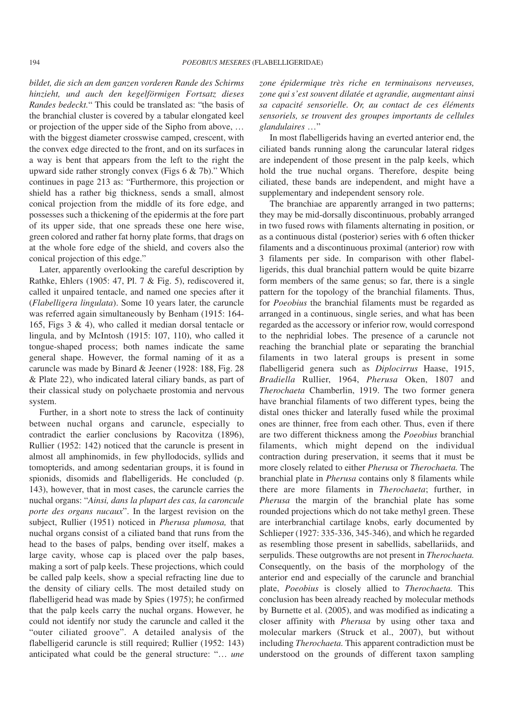*bildet, die sich an dem ganzen vorderen Rande des Schirms hinzieht, und auch den kegelförmigen Fortsatz dieses Randes bedeckt.*" This could be translated as: "the basis of the branchial cluster is covered by a tabular elongated keel or projection of the upper side of the Sipho from above, … with the biggest diameter crosswise camped, crescent, with the convex edge directed to the front, and on its surfaces in a way is bent that appears from the left to the right the upward side rather strongly convex (Figs 6 & 7b)." Which continues in page 213 as: "Furthermore, this projection or shield has a rather big thickness, sends a small, almost conical projection from the middle of its fore edge, and possesses such a thickening of the epidermis at the fore part of its upper side, that one spreads these one here wise, green colored and rather fat horny plate forms, that drags on at the whole fore edge of the shield, and covers also the conical projection of this edge."

Later, apparently overlooking the careful description by Rathke, Ehlers (1905: 47, Pl. 7 & Fig. 5), rediscovered it, called it unpaired tentacle, and named one species after it (*Flabelligera lingulata*). Some 10 years later, the caruncle was referred again simultaneously by Benham (1915: 164- 165, Figs 3 & 4), who called it median dorsal tentacle or lingula, and by McIntosh (1915: 107, 110), who called it tongue-shaped process; both names indicate the same general shape. However, the formal naming of it as a caruncle was made by Binard & Jeener (1928: 188, Fig. 28 & Plate 22), who indicated lateral ciliary bands, as part of their classical study on polychaete prostomia and nervous system.

Further, in a short note to stress the lack of continuity between nuchal organs and caruncle, especially to contradict the earlier conclusions by Racovitza (1896), Rullier (1952: 142) noticed that the caruncle is present in almost all amphinomids, in few phyllodocids, syllids and tomopterids, and among sedentarian groups, it is found in spionids, disomids and flabelligerids. He concluded (p. 143), however, that in most cases, the caruncle carries the nuchal organs: "*Ainsi, dans la plupart des cas, la caroncule porte des organs nucaux*". In the largest revision on the subject, Rullier (1951) noticed in *Pherusa plumosa,* that nuchal organs consist of a ciliated band that runs from the head to the bases of palps, bending over itself, makes a large cavity, whose cap is placed over the palp bases, making a sort of palp keels. These projections, which could be called palp keels, show a special refracting line due to the density of ciliary cells. The most detailed study on flabelligerid head was made by Spies (1975); he confirmed that the palp keels carry the nuchal organs. However, he could not identify nor study the caruncle and called it the "outer ciliated groove". A detailed analysis of the flabelligerid caruncle is still required; Rullier (1952: 143) anticipated what could be the general structure: "… *une*

*zone épidermique très riche en terminaisons nerveuses, zone qui s'est souvent dilatée et agrandie, augmentant ainsi sa capacité sensorielle. Or, au contact de ces éléments sensoriels, se trouvent des groupes importants de cellules glandulaires* …"

In most flabelligerids having an everted anterior end, the ciliated bands running along the caruncular lateral ridges are independent of those present in the palp keels, which hold the true nuchal organs. Therefore, despite being ciliated, these bands are independent, and might have a supplementary and independent sensory role.

The branchiae are apparently arranged in two patterns; they may be mid-dorsally discontinuous, probably arranged in two fused rows with filaments alternating in position, or as a continuous distal (posterior) series with 6 often thicker filaments and a discontinuous proximal (anterior) row with 3 filaments per side. In comparison with other flabelligerids, this dual branchial pattern would be quite bizarre form members of the same genus; so far, there is a single pattern for the topology of the branchial filaments. Thus, for *Poeobius* the branchial filaments must be regarded as arranged in a continuous, single series, and what has been regarded as the accessory or inferior row, would correspond to the nephridial lobes. The presence of a caruncle not reaching the branchial plate or separating the branchial filaments in two lateral groups is present in some flabelligerid genera such as *Diplocirrus* Haase, 1915, *Bradiella* Rullier, 1964, *Pherusa* Oken, 1807 and *Therochaeta* Chamberlin, 1919. The two former genera have branchial filaments of two different types, being the distal ones thicker and laterally fused while the proximal ones are thinner, free from each other. Thus, even if there are two different thickness among the *Poeobius* branchial filaments, which might depend on the individual contraction during preservation, it seems that it must be more closely related to either *Pherusa* or *Therochaeta.* The branchial plate in *Pherusa* contains only 8 filaments while there are more filaments in *Therochaeta*; further, in *Pherusa* the margin of the branchial plate has some rounded projections which do not take methyl green. These are interbranchial cartilage knobs, early documented by Schlieper (1927: 335-336, 345-346), and which he regarded as resembling those present in sabellids, sabellariids, and serpulids. These outgrowths are not present in *Therochaeta.* Consequently, on the basis of the morphology of the anterior end and especially of the caruncle and branchial plate, *Poeobius* is closely allied to *Therochaeta.* This conclusion has been already reached by molecular methods by Burnette et al. (2005), and was modified as indicating a closer affinity with *Pherusa* by using other taxa and molecular markers (Struck et al., 2007), but without including *Therochaeta.* This apparent contradiction must be understood on the grounds of different taxon sampling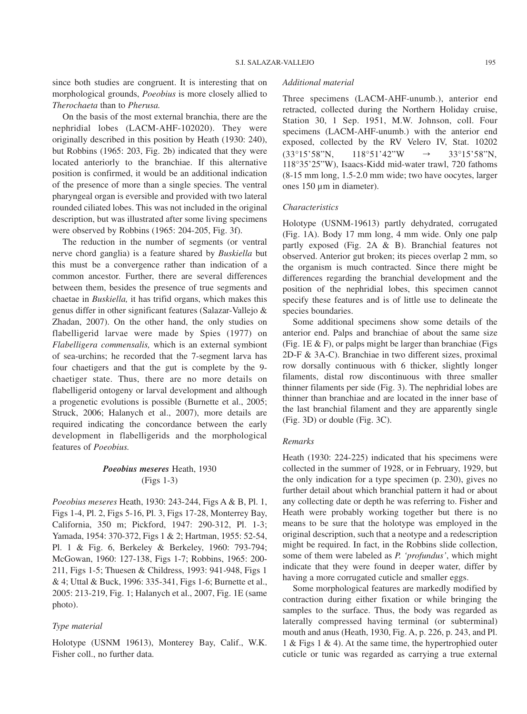since both studies are congruent. It is interesting that on morphological grounds, *Poeobius* is more closely allied to *Therochaeta* than to *Pherusa.*

On the basis of the most external branchia, there are the nephridial lobes (LACM-AHF-102020). They were originally described in this position by Heath (1930: 240), but Robbins (1965: 203, Fig. 2b) indicated that they were located anteriorly to the branchiae. If this alternative position is confirmed, it would be an additional indication of the presence of more than a single species. The ventral pharyngeal organ is eversible and provided with two lateral rounded ciliated lobes. This was not included in the original description, but was illustrated after some living specimens were observed by Robbins (1965: 204-205, Fig. 3f).

The reduction in the number of segments (or ventral nerve chord ganglia) is a feature shared by *Buskiella* but this must be a convergence rather than indication of a common ancestor*.* Further, there are several differences between them, besides the presence of true segments and chaetae in *Buskiella,* it has trifid organs, which makes this genus differ in other significant features (Salazar-Vallejo & Zhadan, 2007). On the other hand, the only studies on flabelligerid larvae were made by Spies (1977) on *Flabelligera commensalis,* which is an external symbiont of sea-urchins; he recorded that the 7-segment larva has four chaetigers and that the gut is complete by the 9 chaetiger state. Thus, there are no more details on flabelligerid ontogeny or larval development and although a progenetic evolutions is possible (Burnette et al., 2005; Struck, 2006; Halanych et al., 2007), more details are required indicating the concordance between the early development in flabelligerids and the morphological features of *Poeobius.*

# *Poeobius meseres* Heath, 1930 (Figs 1-3)

*Poeobius meseres* Heath, 1930: 243-244, Figs A & B, Pl. 1, Figs 1-4, Pl. 2, Figs 5-16, Pl. 3, Figs 17-28, Monterrey Bay, California, 350 m; Pickford, 1947: 290-312, Pl. 1-3; Yamada, 1954: 370-372, Figs 1 & 2; Hartman, 1955: 52-54, Pl. 1 & Fig. 6, Berkeley & Berkeley, 1960: 793-794; McGowan, 1960: 127-138, Figs 1-7; Robbins, 1965: 200- 211, Figs 1-5; Thuesen & Childress, 1993: 941-948, Figs 1 & 4; Uttal & Buck, 1996: 335-341, Figs 1-6; Burnette et al., 2005: 213-219, Fig. 1; Halanych et al., 2007, Fig. 1E (same photo).

# *Type material*

Holotype (USNM 19613), Monterey Bay, Calif., W.K. Fisher coll., no further data.

#### *Additional material*

Three specimens (LACM-AHF-unumb.), anterior end retracted, collected during the Northern Holiday cruise, Station 30, 1 Sep. 1951, M.W. Johnson, coll. Four specimens (LACM-AHF-unumb.) with the anterior end exposed, collected by the RV Velero IV, Stat. 10202  $(33^{\circ}15'58''N, \quad 118^{\circ}51'42''W \rightarrow 33^{\circ}15'58''N,$ 118°35'25"W), Isaacs-Kidd mid-water trawl, 720 fathoms (8-15 mm long, 1.5-2.0 mm wide; two have oocytes, larger ones 150 µm in diameter).

## *Characteristics*

Holotype (USNM-19613) partly dehydrated, corrugated (Fig. 1A). Body 17 mm long, 4 mm wide. Only one palp partly exposed (Fig. 2A & B). Branchial features not observed. Anterior gut broken; its pieces overlap 2 mm, so the organism is much contracted. Since there might be differences regarding the branchial development and the position of the nephridial lobes, this specimen cannot specify these features and is of little use to delineate the species boundaries.

Some additional specimens show some details of the anterior end. Palps and branchiae of about the same size (Fig. 1E  $\&$  F), or palps might be larger than branchiae (Figs 2D-F & 3A-C). Branchiae in two different sizes, proximal row dorsally continuous with 6 thicker, slightly longer filaments, distal row discontinuous with three smaller thinner filaments per side (Fig. 3). The nephridial lobes are thinner than branchiae and are located in the inner base of the last branchial filament and they are apparently single (Fig. 3D) or double (Fig. 3C).

### *Remarks*

Heath (1930: 224-225) indicated that his specimens were collected in the summer of 1928, or in February, 1929, but the only indication for a type specimen (p. 230), gives no further detail about which branchial pattern it had or about any collecting date or depth he was referring to. Fisher and Heath were probably working together but there is no means to be sure that the holotype was employed in the original description, such that a neotype and a redescription might be required. In fact, in the Robbins slide collection, some of them were labeled as *P. 'profundus'*, which might indicate that they were found in deeper water, differ by having a more corrugated cuticle and smaller eggs.

Some morphological features are markedly modified by contraction during either fixation or while bringing the samples to the surface. Thus, the body was regarded as laterally compressed having terminal (or subterminal) mouth and anus (Heath, 1930, Fig. A, p. 226, p. 243, and Pl. 1 & Figs 1 & 4). At the same time, the hypertrophied outer cuticle or tunic was regarded as carrying a true external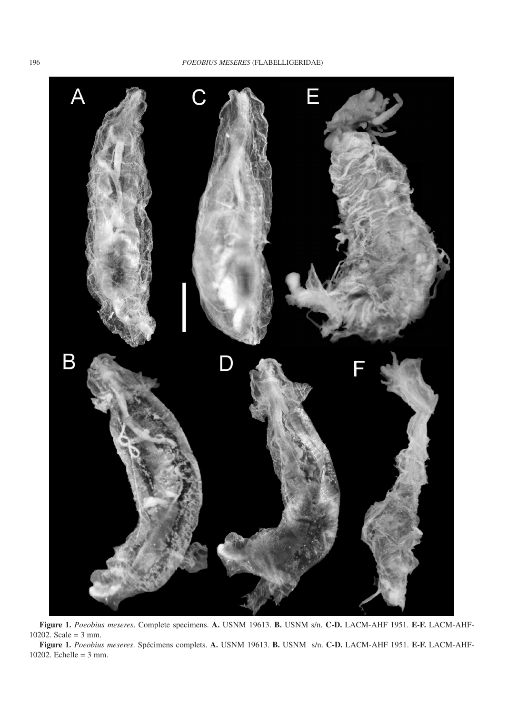

**Figure 1.** *Poeobius meseres*. Complete specimens. **A.** USNM 19613. **B.** USNM s/n. **C-D.** LACM-AHF 1951. **E-F.** LACM-AHF-10202. Scale = 3 mm.

**Figure 1.** *Poeobius meseres*. Spécimens complets. **A.** USNM 19613. **B.** USNM s/n. **C-D.** LACM-AHF 1951. **E-F.** LACM-AHF-10202. Echelle = 3 mm.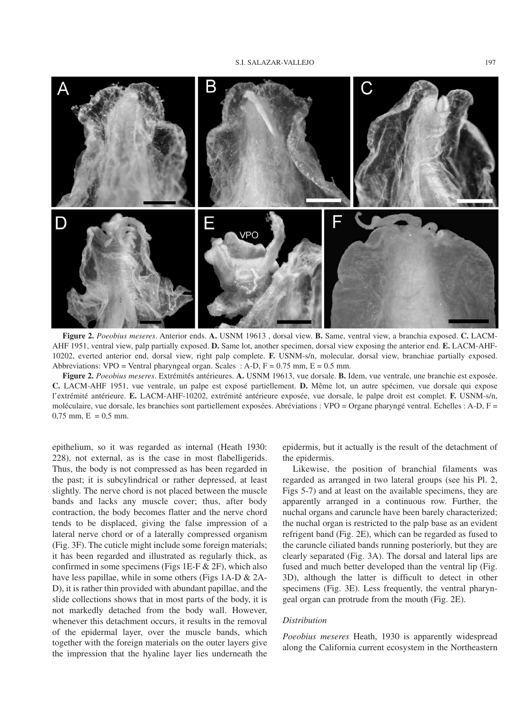

**Figure 2.** *Poeobius meseres*. Anterior ends. **A.** USNM 19613 , dorsal view. **B.** Same, ventral view, a branchia exposed. **C.** LACM-AHF 1951, ventral view, palp partially exposed. **D.** Same lot, another specimen, dorsal view exposing the anterior end. **E.** LACM-AHF-10202, everted anterior end, dorsal view, right palp complete. **F.** USNM-s/n, molecular, dorsal view, branchiae partially exposed. Abbreviations: VPO = Ventral pharyngeal organ. Scales : A-D,  $F = 0.75$  mm,  $E = 0.5$  mm.

**Figure 2.** *Poeobius meseres*. Extrémités antérieures. **A.** USNM 19613, vue dorsale. **B.** Idem, vue ventrale, une branchie est exposée. **C.** LACM-AHF 1951, vue ventrale, un palpe est exposé partiellement. **D.** Même lot, un autre spécimen, vue dorsale qui expose l'extrémité antérieure. **E.** LACM-AHF-10202, extrémité antérieure exposée, vue dorsale, le palpe droit est complet. **F.** USNM-s/n, moléculaire, vue dorsale, les branchies sont partiellement exposées. Abréviations : VPO = Organe pharyngé ventral. Echelles : A-D, F =  $0,75$  mm,  $E = 0,5$  mm.

epithelium, so it was regarded as internal (Heath 1930: 228), not external, as is the case in most flabelligerids. Thus, the body is not compressed as has been regarded in the past; it is subcylindrical or rather depressed, at least slightly. The nerve chord is not placed between the muscle bands and lacks any muscle cover; thus, after body contraction, the body becomes flatter and the nerve chord tends to be displaced, giving the false impression of a lateral nerve chord or of a laterally compressed organism (Fig. 3F). The cuticle might include some foreign materials; it has been regarded and illustrated as regularly thick, as confirmed in some specimens (Figs 1E-F & 2F), which also have less papillae, while in some others (Figs 1A-D & 2A-D), it is rather thin provided with abundant papillae, and the slide collections shows that in most parts of the body, it is not markedly detached from the body wall. However, whenever this detachment occurs, it results in the removal of the epidermal layer, over the muscle bands, which together with the foreign materials on the outer layers give the impression that the hyaline layer lies underneath the

epidermis, but it actually is the result of the detachment of the epidermis.

Likewise, the position of branchial filaments was regarded as arranged in two lateral groups (see his Pl. 2, Figs 5-7) and at least on the available specimens, they are apparently arranged in a continuous row. Further, the nuchal organs and caruncle have been barely characterized; the nuchal organ is restricted to the palp base as an evident refrigent band (Fig. 2E), which can be regarded as fused to the caruncle ciliated bands running posteriorly, but they are clearly separated (Fig. 3A). The dorsal and lateral lips are fused and much better developed than the ventral lip (Fig. 3D), although the latter is difficult to detect in other specimens (Fig. 3E). Less frequently, the ventral pharyngeal organ can protrude from the mouth (Fig. 2E).

## *Distribution*

*Poeobius meseres* Heath, 1930 is apparently widespread along the California current ecosystem in the Northeastern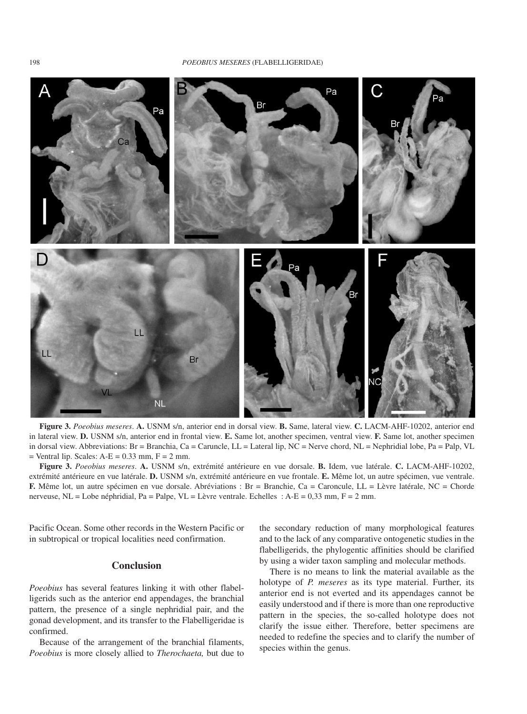#### 198 *POEOBIUS MESERES* (FLABELLIGERIDAE)



**Figure 3.** *Poeobius meseres*. **A.** USNM s/n, anterior end in dorsal view. **B.** Same, lateral view. **C.** LACM-AHF-10202, anterior end in lateral view. **D.** USNM s/n, anterior end in frontal view. **E.** Same lot, another specimen, ventral view. **F.** Same lot, another specimen in dorsal view. Abbreviations: Br = Branchia, Ca = Caruncle, LL = Lateral lip, NC = Nerve chord, NL = Nephridial lobe, Pa = Palp, VL  $=$  Ventral lip. Scales: A-E  $= 0.33$  mm, F  $= 2$  mm.

**Figure 3.** *Poeobius meseres*. **A.** USNM s/n, extrémité antérieure en vue dorsale. **B.** Idem, vue latérale. **C.** LACM-AHF-10202, extrémité antérieure en vue latérale. **D.** USNM s/n, extrémité antérieure en vue frontale. **E.** Même lot, un autre spécimen, vue ventrale. **F.** Même lot, un autre spécimen en vue dorsale. Abréviations : Br = Branchie, Ca = Caroncule, LL = Lèvre latérale, NC = Chorde nerveuse, NL = Lobe néphridial, Pa = Palpe, VL = Lèvre ventrale. Echelles : A-E = 0,33 mm, F = 2 mm.

Pacific Ocean. Some other records in the Western Pacific or in subtropical or tropical localities need confirmation.

# **Conclusion**

*Poeobius* has several features linking it with other flabelligerids such as the anterior end appendages, the branchial pattern, the presence of a single nephridial pair, and the gonad development, and its transfer to the Flabelligeridae is confirmed.

Because of the arrangement of the branchial filaments, *Poeobius* is more closely allied to *Therochaeta,* but due to the secondary reduction of many morphological features and to the lack of any comparative ontogenetic studies in the flabelligerids, the phylogentic affinities should be clarified by using a wider taxon sampling and molecular methods.

There is no means to link the material available as the holotype of *P. meseres* as its type material. Further, its anterior end is not everted and its appendages cannot be easily understood and if there is more than one reproductive pattern in the species, the so-called holotype does not clarify the issue either. Therefore, better specimens are needed to redefine the species and to clarify the number of species within the genus.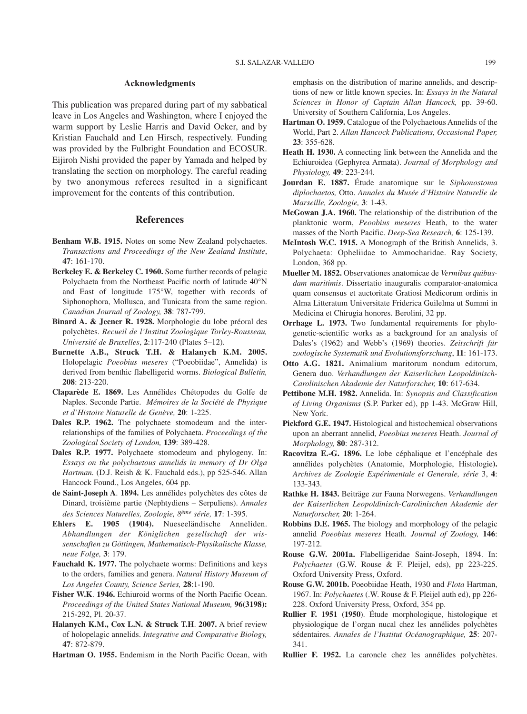## **Acknowledgments**

This publication was prepared during part of my sabbatical leave in Los Angeles and Washington, where I enjoyed the warm support by Leslie Harris and David Ocker, and by Kristian Fauchald and Len Hirsch, respectively. Funding was provided by the Fulbright Foundation and ECOSUR. Eijiroh Nishi provided the paper by Yamada and helped by translating the section on morphology. The careful reading by two anonymous referees resulted in a significant improvement for the contents of this contribution.

## **References**

- **Benham W.B. 1915.** Notes on some New Zealand polychaetes. *Transactions and Proceedings of the New Zealand Institute*, **47**: 161-170.
- **Berkeley E. & Berkeley C. 1960.** Some further records of pelagic Polychaeta from the Northeast Pacific north of latitude 40°N and East of longitude 175°W, together with records of Siphonophora, Mollusca, and Tunicata from the same region. *Canadian Journal of Zoology,* **38**: 787-799.
- **Binard A. & Jeener R. 1928.** Morphologie du lobe préoral des polychètes. *Recueil de l'Institut Zoologique Torley-Rousseau, Université de Bruxelles*, **2**:117-240 (Plates 5–12).
- **Burnette A.B., Struck T.H. & Halanych K.M. 2005.** Holopelagic *Poeobius meseres* ("Poeobiidae", Annelida) is derived from benthic flabelligerid worms. *Biological Bulletin,* **208**: 213-220.
- **Claparède E. 1869.** Les Annélides Chétopodes du Golfe de Naples. Seconde Partie. *Mémoires de la Société de Physique et d'Histoire Naturelle de Genève,* **20**: 1-225.
- **Dales R.P. 1962.** The polychaete stomodeum and the interrelationships of the families of Polychaeta. *Proceedings of the Zoological Society of London,* **139**: 389-428.
- **Dales R.P. 1977.** Polychaete stomodeum and phylogeny. In: *Essays on the polychaetous annelids in memory of Dr Olga Hartman.* (D.J. Reish & K. Fauchald eds.), pp 525-546. Allan Hancock Found., Los Angeles, 604 pp.
- **de Saint-Joseph A**. **1894.** Les annélides polychètes des côtes de Dinard, troisième partie (Nephtydiens – Serpuliens). *Annales des Sciences Naturelles, Zoologie, 8ème série,* **17**: 1-395.
- **Ehlers E. 1905 (1904).** Nueseeländische Anneliden. *Abhandlungen der Königlichen gesellschaft der wissenschaften zu Göttingen, Mathematisch-Physikalische Klasse, neue Folge,* **3**: 179.
- **Fauchald K. 1977.** The polychaete worms: Definitions and keys to the orders, families and genera. *Natural History Museum of Los Angeles County, Science Series,* **28**:1-190.
- **Fisher W.K**. **1946.** Echiuroid worms of the North Pacific Ocean. *Proceedings of the United States National Museum,* **96(3198):** 215-292, Pl. 20-37.
- **Halanych K.M., Cox L.N. & Struck T.H**. **2007.** A brief review of holopelagic annelids. *Integrative and Comparative Biology,* **47**: 872-879.
- **Hartman O. 1955.** Endemism in the North Pacific Ocean, with

emphasis on the distribution of marine annelids, and descriptions of new or little known species. In: *Essays in the Natural Sciences in Honor of Captain Allan Hancock,* pp. 39-60. University of Southern California, Los Angeles.

- **Hartman O. 1959.** Catalogue of the Polychaetous Annelids of the World, Part 2. *Allan Hancock Publications, Occasional Paper,* **23**: 355-628.
- **Heath H. 1930.** A connecting link between the Annelida and the Echiuroidea (Gephyrea Armata). *Journal of Morphology and Physiology,* **49**: 223-244.
- **Jourdan E. 1887.** Étude anatomique sur le *Siphonostoma diplochaetos,* Otto. *Annales du Musée d'Histoire Naturelle de Marseille, Zoologie,* **3**: 1-43.
- **McGowan J.A. 1960.** The relationship of the distribution of the planktonic worm, *Peoobius meseres* Heath, to the water masses of the North Pacific. *Deep-Sea Research,* **6**: 125-139.
- **McIntosh W.C. 1915.** A Monograph of the British Annelids, 3. Polychaeta: Opheliidae to Ammocharidae. Ray Society, London, 368 pp.
- **Mueller M. 1852.** Observationes anatomicae de *Vermibus quibusdam maritimis*. Dissertatio inauguralis comparator-anatomica quam consensus et auctoritate Gratiosi Medicorum ordinis in Alma Litteratum Universitate Friderica Guilelma ut Summi in Medicina et Chirugia honores. Berolini, 32 pp.
- **Orrhage L. 1973.** Two fundamental requirements for phylogenetic-scientific works as a background for an analysis of Dales's (1962) and Webb's (1969) theories. *Zeitschrift für zoologische Systematik und Evolutionsforschung*, **11**: 161-173.
- **Otto A.G. 1821.** Animalium maritorum nondum editorum, Genera duo. *Verhandlungen der Kaiserlichen Leopoldinisch-Carolinischen Akademie der Naturforscher,* **10**: 617-634.
- **Pettibone M.H. 1982.** Annelida. In: *Synopsis and Classification of Living Organisms* (S.P. Parker ed), pp 1-43. McGraw Hill, New York.
- **Pickford G.E. 1947.** Histological and histochemical observations upon an aberrant annelid, *Poeobius meseres* Heath. *Journal of Morphology,* **80**: 287-312.
- **Racovitza E.-G. 1896.** Le lobe céphalique et l'encéphale des annélides polychètes (Anatomie, Morphologie, Histologie**).** *Archives de Zoologie Expérimentale et Generale, série* 3, **4**: 133-343.
- **Rathke H. 1843.** Beiträge zur Fauna Norwegens. *Verhandlungen der Kaiserlichen Leopoldinisch-Carolinischen Akademie der Naturforscher,* **20**: 1-264.
- **Robbins D.E. 1965.** The biology and morphology of the pelagic annelid *Poeobius meseres* Heath. *Journal of Zoology,* **146**: 197-212.
- **Rouse G.W. 2001a.** Flabelligeridae Saint-Joseph, 1894. In: *Polychaetes* (G.W. Rouse & F. Pleijel, eds), pp 223-225. Oxford University Press, Oxford.
- **Rouse G.W. 2001b.** Poeobiidae Heath, 1930 and *Flota* Hartman, 1967. In: *Polychaetes* (.W. Rouse & F. Pleijel auth ed), pp 226- 228. Oxford University Press, Oxford, 354 pp.
- **Rullier F. 1951 (1950**). Étude morphologique, histologique et physiologique de l'organ nucal chez les annélides polychètes sédentaires. *Annales de l'Institut Océanographique,* **25**: 207- 341.
- **Rullier F. 1952.** La caroncle chez les annélides polychètes.